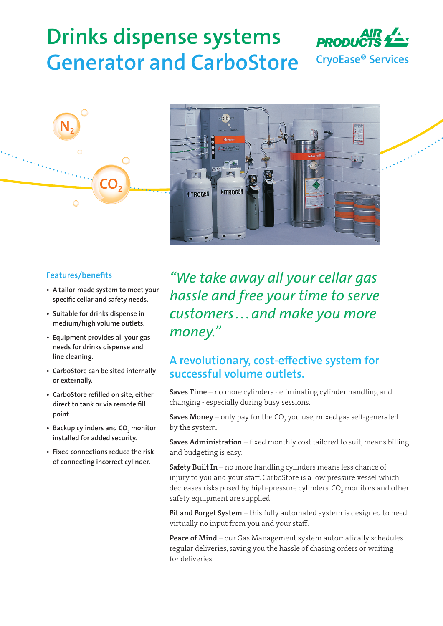## **Drinks dispense systems Generator and CarboStore**







## **Features/benefits**

- **• A tailor-made system to meet your specific cellar and safety needs.**
- **• Suitable for drinks dispense in medium/high volume outlets.**
- **• Equipment provides all your gas needs for drinks dispense and line cleaning.**
- **• CarboStore can be sited internally or externally.**
- **• CarboStore refilled on site, either direct to tank or via remote fill point.**
- Backup cylinders and CO<sub>2</sub> monitor **installed for added security.**
- **• Fixed connections reduce the risk of connecting incorrect cylinder.**

*"We take away all your cellar gas hassle and free your time to serve customers. . .and make you more money."*

## **A revolutionary, cost-effective system for successful volume outlets.**

Saves Time - no more cylinders - eliminating cylinder handling and changing - especially during busy sessions.

**Saves Money** – only pay for the CO<sub>2</sub> you use, mixed gas self-generated by the system.

Saves Administration - fixed monthly cost tailored to suit, means billing and budgeting is easy.

Safety Built In – no more handling cylinders means less chance of injury to you and your staff. CarboStore is a low pressure vessel which decreases risks posed by high-pressure cylinders. CO<sub>2</sub> monitors and other safety equipment are supplied.

Fit and Forget System - this fully automated system is designed to need virtually no input from you and your staff.

Peace of Mind - our Gas Management system automatically schedules regular deliveries, saving you the hassle of chasing orders or waiting for deliveries.